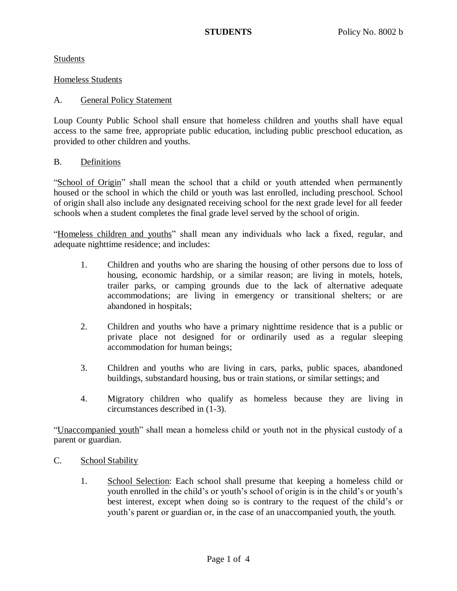Students

### Homeless Students

### A. General Policy Statement

Loup County Public School shall ensure that homeless children and youths shall have equal access to the same free, appropriate public education, including public preschool education, as provided to other children and youths.

### B. Definitions

"School of Origin" shall mean the school that a child or youth attended when permanently housed or the school in which the child or youth was last enrolled, including preschool. School of origin shall also include any designated receiving school for the next grade level for all feeder schools when a student completes the final grade level served by the school of origin.

"Homeless children and youths" shall mean any individuals who lack a fixed, regular, and adequate nighttime residence; and includes:

- 1. Children and youths who are sharing the housing of other persons due to loss of housing, economic hardship, or a similar reason; are living in motels, hotels, trailer parks, or camping grounds due to the lack of alternative adequate accommodations; are living in emergency or transitional shelters; or are abandoned in hospitals;
- 2. Children and youths who have a primary nighttime residence that is a public or private place not designed for or ordinarily used as a regular sleeping accommodation for human beings;
- 3. Children and youths who are living in cars, parks, public spaces, abandoned buildings, substandard housing, bus or train stations, or similar settings; and
- 4. Migratory children who qualify as homeless because they are living in circumstances described in (1-3).

"Unaccompanied youth" shall mean a homeless child or youth not in the physical custody of a parent or guardian.

- C. School Stability
	- 1. School Selection: Each school shall presume that keeping a homeless child or youth enrolled in the child's or youth's school of origin is in the child's or youth's best interest, except when doing so is contrary to the request of the child's or youth's parent or guardian or, in the case of an unaccompanied youth, the youth.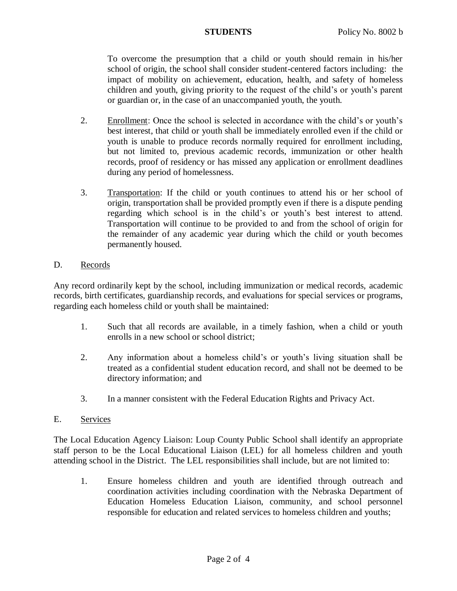To overcome the presumption that a child or youth should remain in his/her school of origin, the school shall consider student-centered factors including: the impact of mobility on achievement, education, health, and safety of homeless children and youth, giving priority to the request of the child's or youth's parent or guardian or, in the case of an unaccompanied youth, the youth.

- 2. Enrollment: Once the school is selected in accordance with the child's or youth's best interest, that child or youth shall be immediately enrolled even if the child or youth is unable to produce records normally required for enrollment including, but not limited to, previous academic records, immunization or other health records, proof of residency or has missed any application or enrollment deadlines during any period of homelessness.
- 3. Transportation: If the child or youth continues to attend his or her school of origin, transportation shall be provided promptly even if there is a dispute pending regarding which school is in the child's or youth's best interest to attend. Transportation will continue to be provided to and from the school of origin for the remainder of any academic year during which the child or youth becomes permanently housed.

## D. Records

Any record ordinarily kept by the school, including immunization or medical records, academic records, birth certificates, guardianship records, and evaluations for special services or programs, regarding each homeless child or youth shall be maintained:

- 1. Such that all records are available, in a timely fashion, when a child or youth enrolls in a new school or school district;
- 2. Any information about a homeless child's or youth's living situation shall be treated as a confidential student education record, and shall not be deemed to be directory information; and
- 3. In a manner consistent with the Federal Education Rights and Privacy Act.

# E. Services

The Local Education Agency Liaison: Loup County Public School shall identify an appropriate staff person to be the Local Educational Liaison (LEL) for all homeless children and youth attending school in the District. The LEL responsibilities shall include, but are not limited to:

1. Ensure homeless children and youth are identified through outreach and coordination activities including coordination with the Nebraska Department of Education Homeless Education Liaison, community, and school personnel responsible for education and related services to homeless children and youths;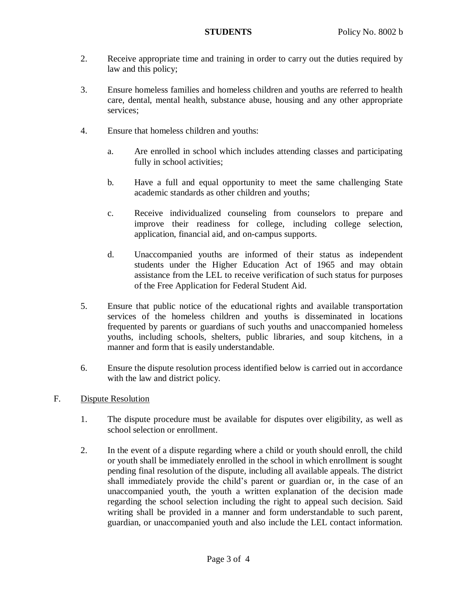- 2. Receive appropriate time and training in order to carry out the duties required by law and this policy;
- 3. Ensure homeless families and homeless children and youths are referred to health care, dental, mental health, substance abuse, housing and any other appropriate services;
- 4. Ensure that homeless children and youths:
	- a. Are enrolled in school which includes attending classes and participating fully in school activities;
	- b. Have a full and equal opportunity to meet the same challenging State academic standards as other children and youths;
	- c. Receive individualized counseling from counselors to prepare and improve their readiness for college, including college selection, application, financial aid, and on-campus supports.
	- d. Unaccompanied youths are informed of their status as independent students under the Higher Education Act of 1965 and may obtain assistance from the LEL to receive verification of such status for purposes of the Free Application for Federal Student Aid.
- 5. Ensure that public notice of the educational rights and available transportation services of the homeless children and youths is disseminated in locations frequented by parents or guardians of such youths and unaccompanied homeless youths, including schools, shelters, public libraries, and soup kitchens, in a manner and form that is easily understandable.
- 6. Ensure the dispute resolution process identified below is carried out in accordance with the law and district policy.
- F. Dispute Resolution
	- 1. The dispute procedure must be available for disputes over eligibility, as well as school selection or enrollment.
	- 2. In the event of a dispute regarding where a child or youth should enroll, the child or youth shall be immediately enrolled in the school in which enrollment is sought pending final resolution of the dispute, including all available appeals. The district shall immediately provide the child's parent or guardian or, in the case of an unaccompanied youth, the youth a written explanation of the decision made regarding the school selection including the right to appeal such decision. Said writing shall be provided in a manner and form understandable to such parent, guardian, or unaccompanied youth and also include the LEL contact information.